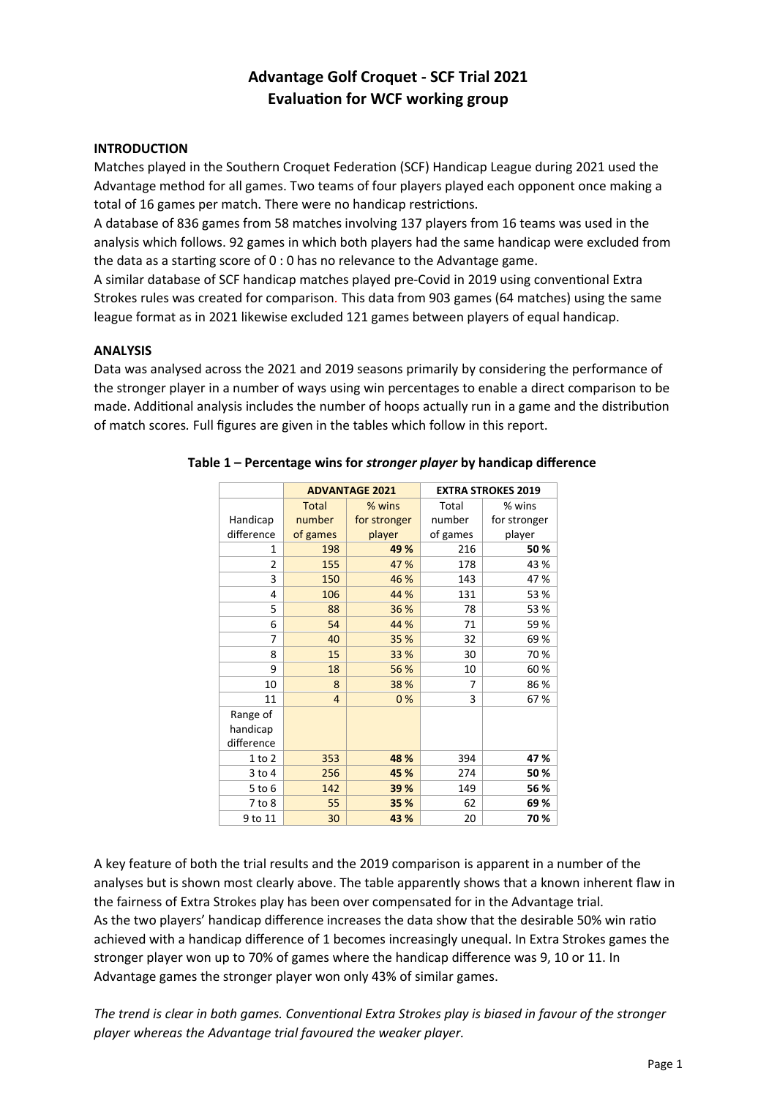# **Advantage Golf Croquet - SCF Trial 2021 Evaluation for WCF working group**

# **INTRODUCTION**

Matches played in the Southern Croquet Federation (SCF) Handicap League during 2021 used the Advantage method for all games. Two teams of four players played each opponent once making a total of 16 games per match. There were no handicap restrictions.

A database of 836 games from 58 matches involving 137 players from 16 teams was used in the analysis which follows. 92 games in which both players had the same handicap were excluded from the data as a starting score of 0 : 0 has no relevance to the Advantage game.

A similar database of SCF handicap matches played pre-Covid in 2019 using conventional Extra Strokes rules was created for comparison*.* This data from 903 games (64 matches) using the same league format as in 2021 likewise excluded 121 games between players of equal handicap.

#### **ANALYSIS**

Data was analysed across the 2021 and 2019 seasons primarily by considering the performance of the stronger player in a number of ways using win percentages to enable a direct comparison to be made. Additional analysis includes the number of hoops actually run in a game and the distribution of match scores*.* Full figures are given in the tables which follow in this report.

|                |              | <b>ADVANTAGE 2021</b> | <b>EXTRA STROKES 2019</b> |              |  |
|----------------|--------------|-----------------------|---------------------------|--------------|--|
|                | <b>Total</b> | % wins                | Total                     | % wins       |  |
| Handicap       | number       | for stronger          | number                    | for stronger |  |
| difference     | of games     | player                | of games                  | player       |  |
| 1              | 198          | 49 %                  | 216                       | 50%          |  |
| $\overline{2}$ | 155          | 47 %                  | 178                       | 43 %         |  |
| 3              | 150          | 46 %                  | 143                       | 47%          |  |
| 4              | 106          | 44 %                  | 131                       | 53 %         |  |
| 5              | 88           | 36 %                  | 78                        | 53 %         |  |
| 6              | 54           | 44 %                  | 71                        | 59%          |  |
| 7              | 40           | 35 %                  | 32                        | 69%          |  |
| 8              | 15           | 33 %                  | 30                        | 70%          |  |
| 9              | 18           | 56 %                  | 10                        | 60%          |  |
| 10             | 8            | 38 %                  | 7                         | 86%          |  |
| 11             | 4            | 0%                    | 3                         | 67%          |  |
| Range of       |              |                       |                           |              |  |
| handicap       |              |                       |                           |              |  |
| difference     |              |                       |                           |              |  |
| $1$ to $2$     | 353          | 48 %                  | 394                       | 47%          |  |
| $3$ to $4$     | 256          | 45 %                  | 274                       | 50%          |  |
| $5$ to $6$     | 142          | 39 %                  | 149                       | 56 %         |  |
| 7 to 8         | 55           | 35 %                  | 62                        | 69%          |  |
| 9 to 11        | 30           | 43 %                  | 20                        | 70%          |  |

# **Table 1 – Percentage wins for** *stronger player* **by handicap difference**

A key feature of both the trial results and the 2019 comparison is apparent in a number of the analyses but is shown most clearly above. The table apparently shows that a known inherent flaw in the fairness of Extra Strokes play has been over compensated for in the Advantage trial. As the two players' handicap difference increases the data show that the desirable 50% win ratio achieved with a handicap difference of 1 becomes increasingly unequal. In Extra Strokes games the stronger player won up to 70% of games where the handicap difference was 9, 10 or 11. In Advantage games the stronger player won only 43% of similar games.

*The trend is clear in both games. Conventional Extra Strokes play is biased in favour of the stronger player whereas the Advantage trial favoured the weaker player.*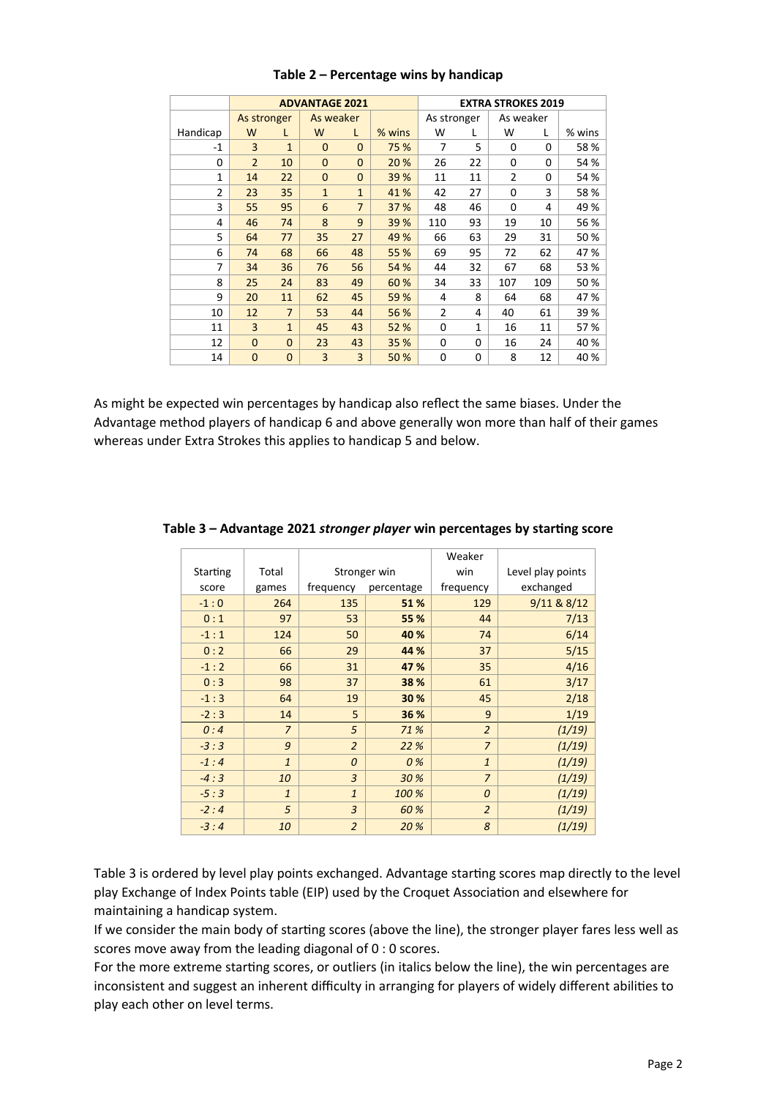|                | <b>ADVANTAGE 2021</b> |                |              |                |          |                |    | <b>EXTRA STROKES 2019</b> |     |        |
|----------------|-----------------------|----------------|--------------|----------------|----------|----------------|----|---------------------------|-----|--------|
|                | As stronger           |                | As weaker    |                |          | As stronger    |    | As weaker                 |     |        |
| Handicap       | W                     | L              | W            | L              | $%$ wins | W              | L  | w                         | L   | % wins |
| $-1$           | 3                     | $\mathbf{1}$   | $\mathbf{0}$ | $\mathbf 0$    | 75 %     | 7              | 5  | 0                         | 0   | 58 %   |
| $\Omega$       | $\overline{2}$        | 10             | $\mathbf{0}$ | $\mathbf{0}$   | 20 %     | 26             | 22 | $\Omega$                  | 0   | 54 %   |
| 1              | 14                    | 22             | $\mathbf{0}$ | $\mathbf{0}$   | 39 %     | 11             | 11 | 2                         | 0   | 54 %   |
| $\overline{2}$ | 23                    | 35             | $\mathbf{1}$ | $\mathbf{1}$   | 41 %     | 42             | 27 | 0                         | 3   | 58 %   |
| 3              | 55                    | 95             | 6            | $\overline{7}$ | 37 %     | 48             | 46 | 0                         | 4   | 49 %   |
| 4              | 46                    | 74             | 8            | 9              | 39 %     | 110            | 93 | 19                        | 10  | 56 %   |
| 5              | 64                    | 77             | 35           | 27             | 49 %     | 66             | 63 | 29                        | 31  | 50 %   |
| 6              | 74                    | 68             | 66           | 48             | 55 %     | 69             | 95 | 72                        | 62  | 47%    |
| 7              | 34                    | 36             | 76           | 56             | 54 %     | 44             | 32 | 67                        | 68  | 53 %   |
| 8              | 25                    | 24             | 83           | 49             | 60 %     | 34             | 33 | 107                       | 109 | 50%    |
| 9              | 20                    | 11             | 62           | 45             | 59 %     | 4              | 8  | 64                        | 68  | 47%    |
| 10             | 12                    | $\overline{7}$ | 53           | 44             | 56 %     | $\overline{2}$ | 4  | 40                        | 61  | 39 %   |
| 11             | 3                     | $\mathbf{1}$   | 45           | 43             | 52 %     | 0              | 1  | 16                        | 11  | 57%    |
| 12             | $\Omega$              | $\Omega$       | 23           | 43             | 35 %     | 0              | 0  | 16                        | 24  | 40 %   |
| 14             | $\mathbf{0}$          | $\mathbf{0}$   | 3            | 3              | 50 %     | 0              | 0  | 8                         | 12  | 40 %   |

# **Table 2 – Percentage wins by handicap**

As might be expected win percentages by handicap also reflect the same biases. Under the Advantage method players of handicap 6 and above generally won more than half of their games whereas under Extra Strokes this applies to handicap 5 and below.

|          |                |                |            | Weaker         |                   |
|----------|----------------|----------------|------------|----------------|-------------------|
| Starting | Total          | Stronger win   |            | win            | Level play points |
| score    | games          | frequency      | percentage | frequency      | exchanged         |
| $-1:0$   | 264            | 135            | 51 %       | 129            | 9/11 & 8/12       |
| 0:1      | 97             | 53             | 55 %       | 44             | 7/13              |
| $-1:1$   | 124            | 50             | 40 %       | 74             | 6/14              |
| 0:2      | 66             | 29             | 44 %       | 37             | 5/15              |
| $-1:2$   | 66             | 31             | 47 %       | 35             | 4/16              |
| 0:3      | 98             | 37             | 38 %       | 61             | 3/17              |
| $-1:3$   | 64             | 19             | 30 %       | 45             | 2/18              |
| $-2:3$   | 14             | 5              | 36 %       | 9              | 1/19              |
| 0:4      | $\overline{7}$ | 5              | 71 %       | $\overline{2}$ | (1/19)            |
| $-3:3$   | 9              | $\overline{2}$ | 22 %       | $\overline{7}$ | (1/19)            |
| $-1:4$   | $\mathbf{1}$   | $\Omega$       | 0%         | $\mathbf{1}$   | (1/19)            |
| $-4:3$   | 10             | 3              | 30 %       | $\overline{7}$ | (1/19)            |
| $-5:3$   | $\mathbf{1}$   | $\mathbf{1}$   | 100 %      | $\overline{O}$ | (1/19)            |
| $-2:4$   | 5              | $\overline{3}$ | 60 %       | $\overline{2}$ | (1/19)            |
| $-3:4$   | 10             | $\overline{2}$ | 20 %       | 8              | (1/19)            |

#### **Table 3 – Advantage 2021** *stronger player* **win percentages by starting score**

Table 3 is ordered by level play points exchanged. Advantage starting scores map directly to the level play Exchange of Index Points table (EIP) used by the Croquet Association and elsewhere for maintaining a handicap system.

If we consider the main body of starting scores (above the line), the stronger player fares less well as scores move away from the leading diagonal of 0 : 0 scores.

For the more extreme starting scores, or outliers (in italics below the line), the win percentages are inconsistent and suggest an inherent difficulty in arranging for players of widely different abilities to play each other on level terms.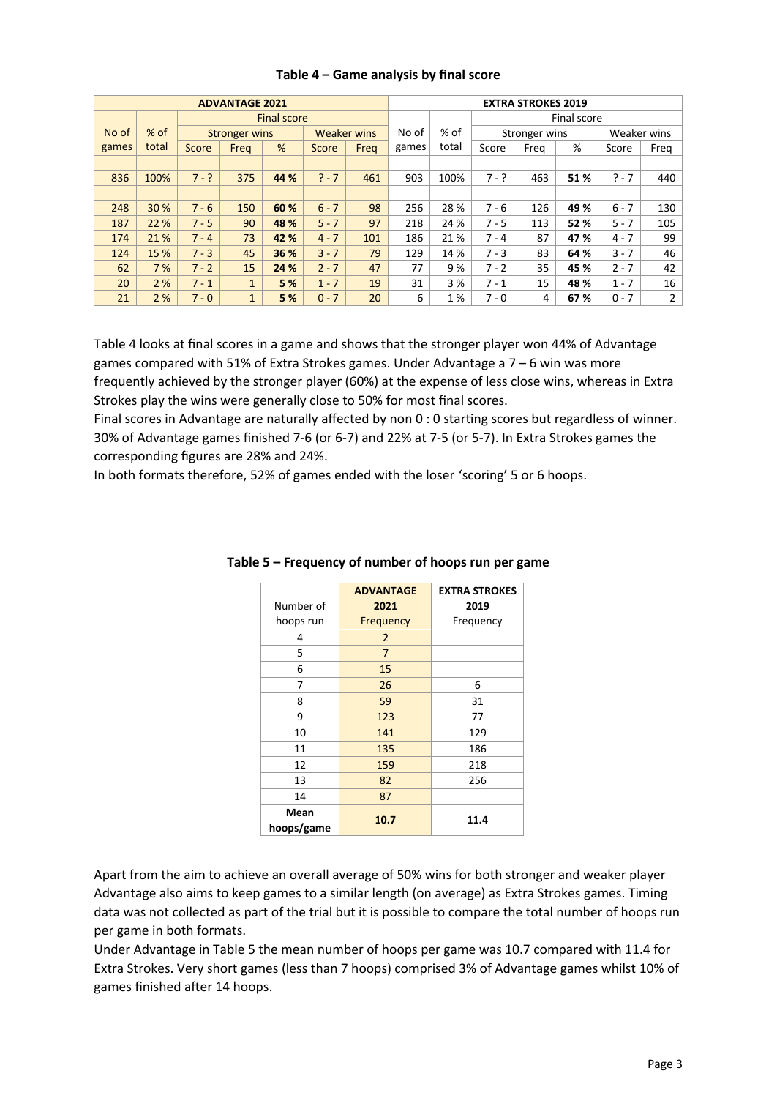| <b>ADVANTAGE 2021</b> |        |         |                      |                    | <b>EXTRA STROKES 2019</b> |      |       |        |             |               |      |             |                |
|-----------------------|--------|---------|----------------------|--------------------|---------------------------|------|-------|--------|-------------|---------------|------|-------------|----------------|
|                       |        |         |                      | <b>Final score</b> |                           |      |       |        | Final score |               |      |             |                |
| No of                 | $%$ of |         | <b>Stronger wins</b> |                    | <b>Weaker wins</b>        |      | No of | $%$ of |             | Stronger wins |      | Weaker wins |                |
| games                 | total  | Score   | Freq                 | %                  | Score                     | Frea | games | total  | Score       | Frea          | %    | Score       | Freg           |
|                       |        |         |                      |                    |                           |      |       |        |             |               |      |             |                |
| 836                   | 100%   | $7 - ?$ | 375                  | 44 %               | $? - 7$                   | 461  | 903   | 100%   | $7 - ?$     | 463           | 51%  | $? - 7$     | 440            |
|                       |        |         |                      |                    |                           |      |       |        |             |               |      |             |                |
| 248                   | 30 %   | $7 - 6$ | 150                  | 60 %               | $6 - 7$                   | 98   | 256   | 28 %   | $7 - 6$     | 126           | 49%  | $6 - 7$     | 130            |
| 187                   | 22 %   | $7 - 5$ | 90                   | 48 %               | $5 - 7$                   | 97   | 218   | 24 %   | $7 - 5$     | 113           | 52%  | $5 - 7$     | 105            |
| 174                   | 21 %   | $7 - 4$ | 73                   | 42 %               | $4 - 7$                   | 101  | 186   | 21%    | $7 - 4$     | 87            | 47 % | $4 - 7$     | 99             |
| 124                   | 15 %   | $7 - 3$ | 45                   | 36 %               | $3 - 7$                   | 79   | 129   | 14 %   | $7 - 3$     | 83            | 64 % | $3 - 7$     | 46             |
| 62                    | 7%     | $7 - 2$ | 15                   | 24 %               | $2 - 7$                   | 47   | 77    | 9%     | $7 - 2$     | 35            | 45 % | $2 - 7$     | 42             |
| 20                    | 2%     | $7 - 1$ | $\mathbf{1}$         | 5 %                | $1 - 7$                   | 19   | 31    | 3 %    | $7 - 1$     | 15            | 48%  | $1 - 7$     | 16             |
| 21                    | 2%     | $7 - 0$ | $\mathbf{1}$         | 5%                 | $0 - 7$                   | 20   | 6     | 1%     | $7 - 0$     | 4             | 67 % | $0 - 7$     | $\overline{2}$ |

# **Table 4 – Game analysis by final score**

Table 4 looks at final scores in a game and shows that the stronger player won 44% of Advantage games compared with 51% of Extra Strokes games. Under Advantage a 7 – 6 win was more frequently achieved by the stronger player (60%) at the expense of less close wins, whereas in Extra Strokes play the wins were generally close to 50% for most final scores.

Final scores in Advantage are naturally affected by non 0 : 0 starting scores but regardless of winner. 30% of Advantage games finished 7-6 (or 6-7) and 22% at 7-5 (or 5-7). In Extra Strokes games the corresponding figures are 28% and 24%.

In both formats therefore, 52% of games ended with the loser 'scoring' 5 or 6 hoops.

|                    | <b>ADVANTAGE</b> | <b>EXTRA STROKES</b> |
|--------------------|------------------|----------------------|
| Number of          | 2021             | 2019                 |
| hoops run          | Frequency        | Frequency            |
| 4                  | 2                |                      |
| 5                  | $\overline{7}$   |                      |
| 6                  | 15               |                      |
| 7                  | 26               | 6                    |
| 8                  | 59               | 31                   |
| 9                  | 123              | 77                   |
| 10                 | 141              | 129                  |
| 11                 | 135              | 186                  |
| 12                 | 159              | 218                  |
| 13                 | 82               | 256                  |
| 14                 | 87               |                      |
| Mean<br>hoops/game | 10.7             | 11.4                 |

**Table 5 – Frequency of number of hoops run per game**

Apart from the aim to achieve an overall average of 50% wins for both stronger and weaker player Advantage also aims to keep games to a similar length (on average) as Extra Strokes games. Timing data was not collected as part of the trial but it is possible to compare the total number of hoops run per game in both formats.

Under Advantage in Table 5 the mean number of hoops per game was 10.7 compared with 11.4 for Extra Strokes. Very short games (less than 7 hoops) comprised 3% of Advantage games whilst 10% of games finished after 14 hoops.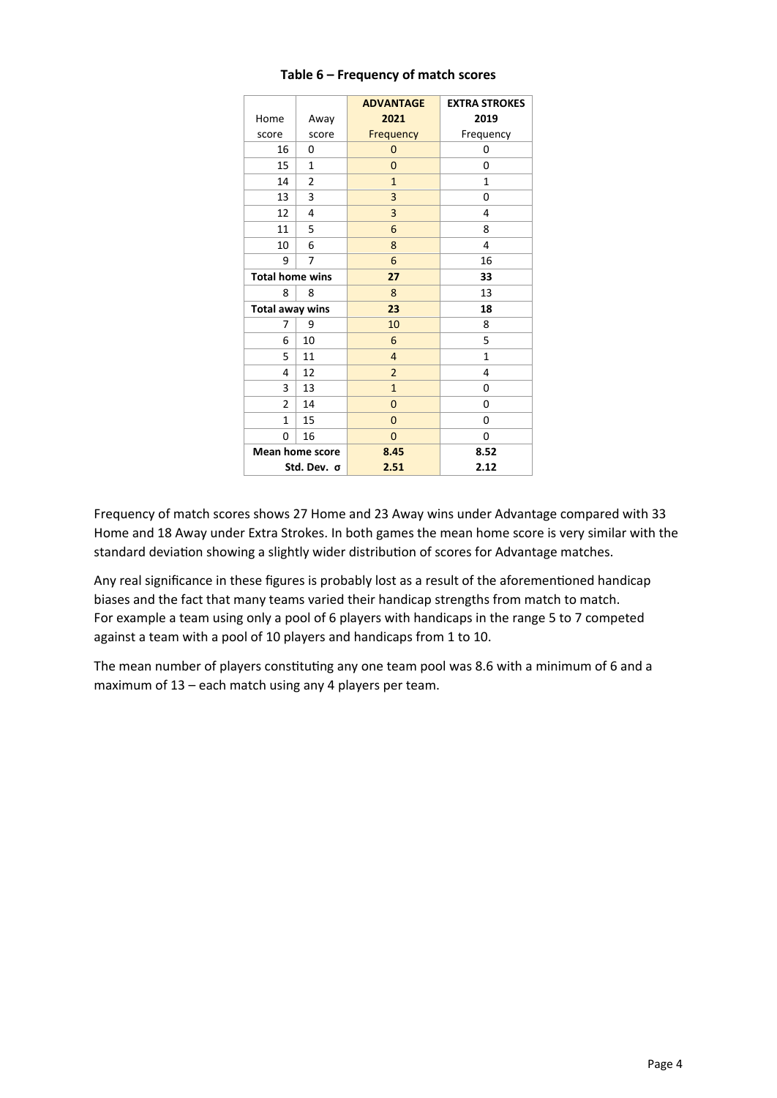|                        |                 | <b>ADVANTAGE</b> | <b>EXTRA STROKES</b> |
|------------------------|-----------------|------------------|----------------------|
| Home                   | Away            | 2021             | 2019                 |
| score                  | score           | Frequency        | Frequency            |
| 16                     | 0               | 0                | 0                    |
| 15                     | 1               | 0                | 0                    |
| 14                     | 2               | $\mathbf{1}$     | $\mathbf{1}$         |
| 13                     | 3               | 3                | 0                    |
| 12                     | 4               | 3                | 4                    |
| 11                     | 5               | 6                | 8                    |
| 10                     | 6               | 8                | 4                    |
| 9                      | 7               | 6                | 16                   |
| <b>Total home wins</b> |                 | 27               | 33                   |
| 8                      | 8               | 8                | 13                   |
| <b>Total away wins</b> |                 | 23               | 18                   |
| 7                      | 9               | 10               | 8                    |
| 6                      | 10              | 6                | 5                    |
| 5                      | 11              | 4                | $\mathbf{1}$         |
| 4                      | 12              | $\overline{2}$   | 4                    |
| 3                      | 13              | $\mathbf{1}$     | 0                    |
| $\overline{2}$         | 14              | 0                | 0                    |
| 1                      | 15              | 0                | 0                    |
| 0                      | 16              | 0                | 0                    |
|                        | Mean home score | 8.45             | 8.52                 |
| Std. Dev. σ            |                 | 2.51             | 2.12                 |

#### **Table 6 – Frequency of match scores**

Frequency of match scores shows 27 Home and 23 Away wins under Advantage compared with 33 Home and 18 Away under Extra Strokes. In both games the mean home score is very similar with the standard deviation showing a slightly wider distribution of scores for Advantage matches.

Any real significance in these figures is probably lost as a result of the aforementioned handicap biases and the fact that many teams varied their handicap strengths from match to match. For example a team using only a pool of 6 players with handicaps in the range 5 to 7 competed against a team with a pool of 10 players and handicaps from 1 to 10.

The mean number of players constituting any one team pool was 8.6 with a minimum of 6 and a maximum of 13 – each match using any 4 players per team.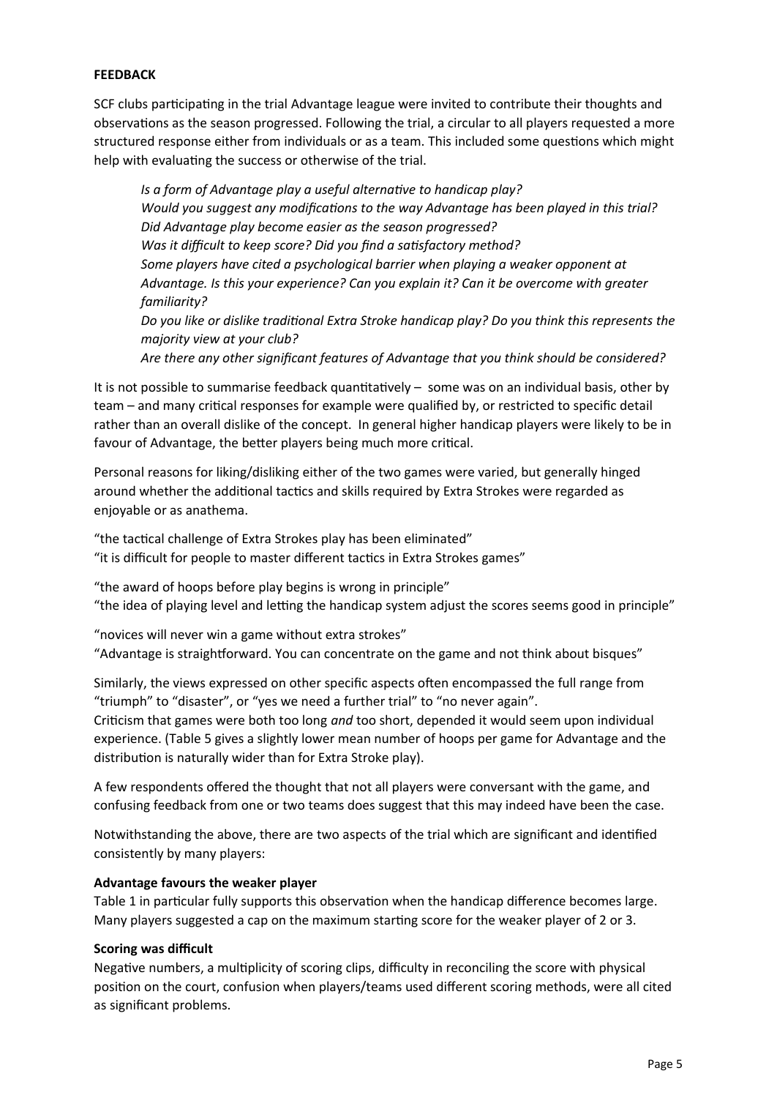#### **FEEDBACK**

SCF clubs participating in the trial Advantage league were invited to contribute their thoughts and observations as the season progressed. Following the trial, a circular to all players requested a more structured response either from individuals or as a team. This included some questions which might help with evaluating the success or otherwise of the trial.

*Is a form of Advantage play a useful alternative to handicap play? Would you suggest any modifications to the way Advantage has been played in this trial? Did Advantage play become easier as the season progressed? Was it difficult to keep score? Did you find a satisfactory method? Some players have cited a psychological barrier when playing a weaker opponent at Advantage. Is this your experience? Can you explain it? Can it be overcome with greater familiarity? Do you like or dislike traditional Extra Stroke handicap play? Do you think this represents the majority view at your club? Are there any other significant features of Advantage that you think should be considered?*

It is not possible to summarise feedback quantitatively – some was on an individual basis, other by team – and many critical responses for example were qualified by, or restricted to specific detail rather than an overall dislike of the concept. In general higher handicap players were likely to be in favour of Advantage, the better players being much more critical.

Personal reasons for liking/disliking either of the two games were varied, but generally hinged around whether the additional tactics and skills required by Extra Strokes were regarded as enjoyable or as anathema.

"the tactical challenge of Extra Strokes play has been eliminated" "it is difficult for people to master different tactics in Extra Strokes games"

"the award of hoops before play begins is wrong in principle" "the idea of playing level and letting the handicap system adjust the scores seems good in principle"

"novices will never win a game without extra strokes" "Advantage is straightforward. You can concentrate on the game and not think about bisques"

Similarly, the views expressed on other specific aspects often encompassed the full range from "triumph" to "disaster", or "yes we need a further trial" to "no never again". Criticism that games were both too long *and* too short, depended it would seem upon individual

experience. (Table 5 gives a slightly lower mean number of hoops per game for Advantage and the distribution is naturally wider than for Extra Stroke play).

A few respondents offered the thought that not all players were conversant with the game, and confusing feedback from one or two teams does suggest that this may indeed have been the case.

Notwithstanding the above, there are two aspects of the trial which are significant and identified consistently by many players:

# **Advantage favours the weaker player**

Table 1 in particular fully supports this observation when the handicap difference becomes large. Many players suggested a cap on the maximum starting score for the weaker player of 2 or 3.

#### **Scoring was difficult**

Negative numbers, a multiplicity of scoring clips, difficulty in reconciling the score with physical position on the court, confusion when players/teams used different scoring methods, were all cited as significant problems.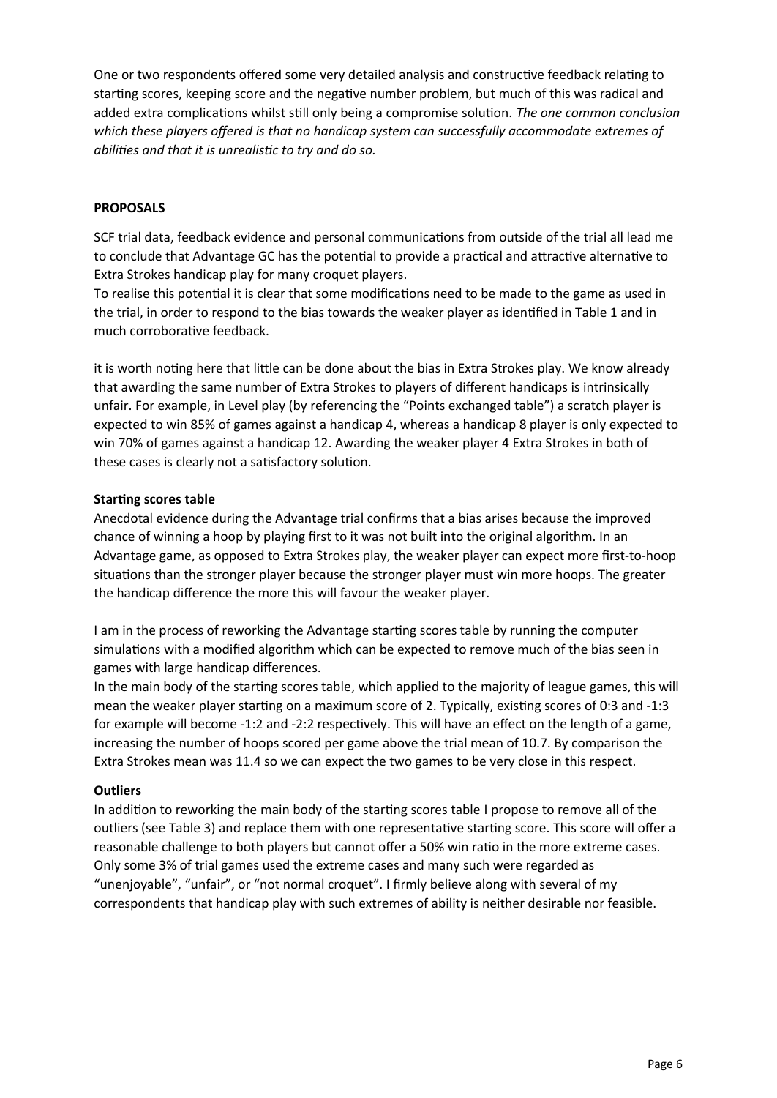One or two respondents offered some very detailed analysis and constructive feedback relating to starting scores, keeping score and the negative number problem, but much of this was radical and added extra complications whilst still only being a compromise solution. *The one common conclusion which these players offered is that no handicap system can successfully accommodate extremes of abilities and that it is unrealistic to try and do so.*

#### **PROPOSALS**

SCF trial data, feedback evidence and personal communications from outside of the trial all lead me to conclude that Advantage GC has the potential to provide a practical and attractive alternative to Extra Strokes handicap play for many croquet players.

To realise this potential it is clear that some modifications need to be made to the game as used in the trial, in order to respond to the bias towards the weaker player as identified in Table 1 and in much corroborative feedback.

it is worth noting here that little can be done about the bias in Extra Strokes play. We know already that awarding the same number of Extra Strokes to players of different handicaps is intrinsically unfair. For example, in Level play (by referencing the "Points exchanged table") a scratch player is expected to win 85% of games against a handicap 4, whereas a handicap 8 player is only expected to win 70% of games against a handicap 12. Awarding the weaker player 4 Extra Strokes in both of these cases is clearly not a satisfactory solution.

# **Starting scores table**

Anecdotal evidence during the Advantage trial confirms that a bias arises because the improved chance of winning a hoop by playing first to it was not built into the original algorithm. In an Advantage game, as opposed to Extra Strokes play, the weaker player can expect more first-to-hoop situations than the stronger player because the stronger player must win more hoops. The greater the handicap difference the more this will favour the weaker player.

I am in the process of reworking the Advantage starting scores table by running the computer simulations with a modified algorithm which can be expected to remove much of the bias seen in games with large handicap differences.

In the main body of the starting scores table, which applied to the majority of league games, this will mean the weaker player starting on a maximum score of 2. Typically, existing scores of 0:3 and -1:3 for example will become -1:2 and -2:2 respectively. This will have an effect on the length of a game, increasing the number of hoops scored per game above the trial mean of 10.7. By comparison the Extra Strokes mean was 11.4 so we can expect the two games to be very close in this respect.

#### **Outliers**

In addition to reworking the main body of the starting scores table I propose to remove all of the outliers (see Table 3) and replace them with one representative starting score. This score will offer a reasonable challenge to both players but cannot offer a 50% win ratio in the more extreme cases. Only some 3% of trial games used the extreme cases and many such were regarded as "unenjoyable", "unfair", or "not normal croquet". I firmly believe along with several of my correspondents that handicap play with such extremes of ability is neither desirable nor feasible.